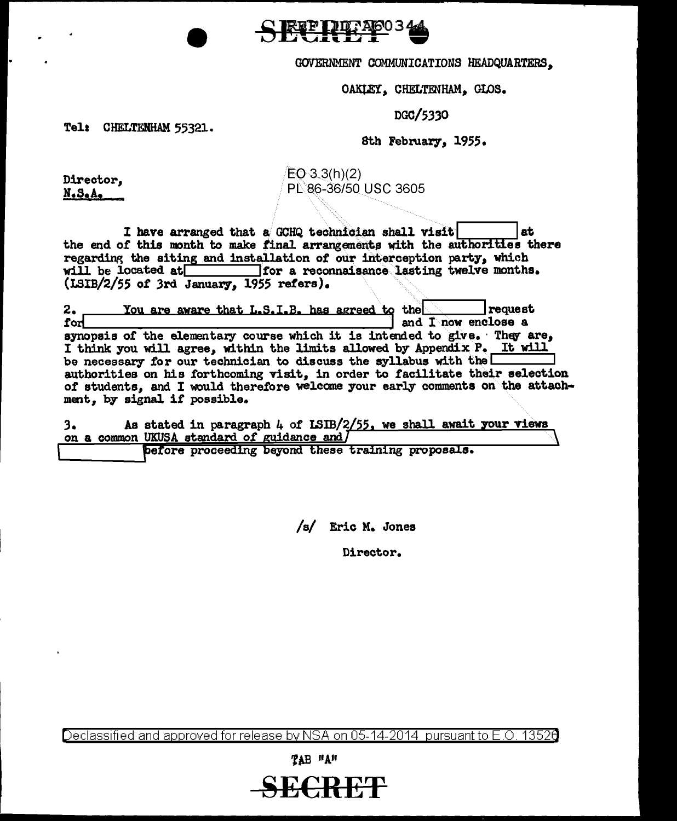<u>ЕГ РІД: АЮОЗА</u>

## GOVERNMENT COMMUNICATIONS HEADQUARTERS,

OAKLEY, CHELTENHAM, GLOS.

## D00/5.3.30

Tele CHELTENHAM 55321.

## 8th February, 1955.

Director, N.s.A.

 $EO-3.3(h)(2)$ PL86-36/50 USC 3605

I have arranged that a GCHQ technician shall visit the end of this month to make final arrangements with the authorities there regarding the siting and installation of our interception party, which will be located at **lack of the seconnaisance** lasting twelve months. (LSIB/2/55 of 3rd January, 1955 refers).

2. You are aware that L.S.I.B. has agreed to the request for request for  $\frac{1}{\sqrt{1-\frac{1}{n}}}$  request and I now enclose a synopsis of the elementary course which it is intended to give. They are, I think you will agree, within the limits allowed by Appendix P. It will be necessary for our technician to discuss the syllabus with the  $\Box$ authorities on his forthcoming visit, in order to facilitate their selection of students, and I would therefore welcome your early comments on the attachment, by signal if possible.

As stated in paragraph  $4$  of LSIB/2/55, we shall await your views  $3.$ on a common UKUSA standard of guidance and )

before proceeding beyond these training proposals.

/s/ Eric M. Jones

Director.

Declassified and approved for release by NSA on 05-14-2014 pursuantto E.O. 1352a

 $T$  $AB$   $H$  $A$  $H$ 

**SECRET**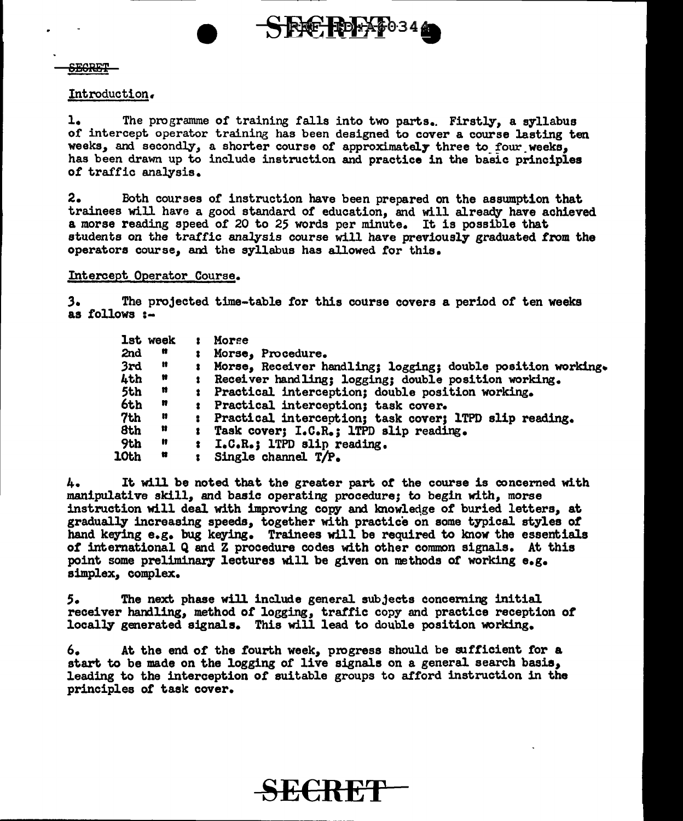**SEGRET** 

#### Introduction.

1. The programme of training falls into two parts.. Firstly, a syllabus of intercept operator training has been designed to cover a course lasting ten weeks, and secondly, a shorter course of approximately three to four weeks, has been drawn up to include instruction and practice in the basic principles or traffic analysis.

 $S$ FE FORT 034

2. Both courses of instruction have been prepared on the assumption that trainees will have a good standard of education, and will already have achieved a morse reading speed or 20 to 25 words per minute. It is possible that students on the traffic analysis course will have previously graduated from the operators course, and the syllabus has allowed for this.

## Intercept Operator Course.

*3.* The projected time-table for this course covers a period or ten weeks as follows :-

|                 | lst week | в.                   | Morse                                                       |
|-----------------|----------|----------------------|-------------------------------------------------------------|
| 2nd             | n        |                      | : Morse, Procedure.                                         |
| 3rd             | n        |                      | Morse, Receiver handling; logging; double position working. |
| 4th             | n        | $\bullet$            | Receiver handling; logging; double position working.        |
| 5th             | n        |                      | : Practical interception; double position working.          |
| 6th             | n        | $\ddot{\bm{x}}$      | Practical interception; task cover.                         |
| 7 <sub>th</sub> | n        | $\ddot{\phantom{a}}$ | Practical interception; task cover; 1TPD slip reading.      |
| 8th             | Ħ        | $\mathbf{r}$         | Task cover; I.C.R.; 1TPD slip reading.                      |
| 9th             | Ħ        | 名:                   | I.C.R.; 1TPD slip reading.                                  |
| <b>10th</b>     | Ħ        | ž.                   | Single channel T/P.                                         |

4. It will be noted that the greater part *ot* the course is concerned with manipulative skill, and basic operating procedure; to begin with, morse instruction will deal with improving copy and knowledge of buried letters, at gradually increasing speeds, together with practice on some typical styles of hand keying e.g. bug keying. Trainees will be required to know the essentials of international Q and Z procedure codes with other common signals. At this point some preliminary lectures will be given on methods of working  $e_{\alpha}g_{\alpha}$ . simplex, complex.

*s.* The next phase will include general subjects conceming initial receiver handling, method or logging, trattic copy and practice reception *ot*  locally generated signals. This will lead to double position working.

6. At the end or the fourth week, progress should be sufficient for a start to be made on the logging of live signals on a general search basis, leading to the interception or suitable groups to afford instruction in the principles or task cover.

B<del>ë€R</del>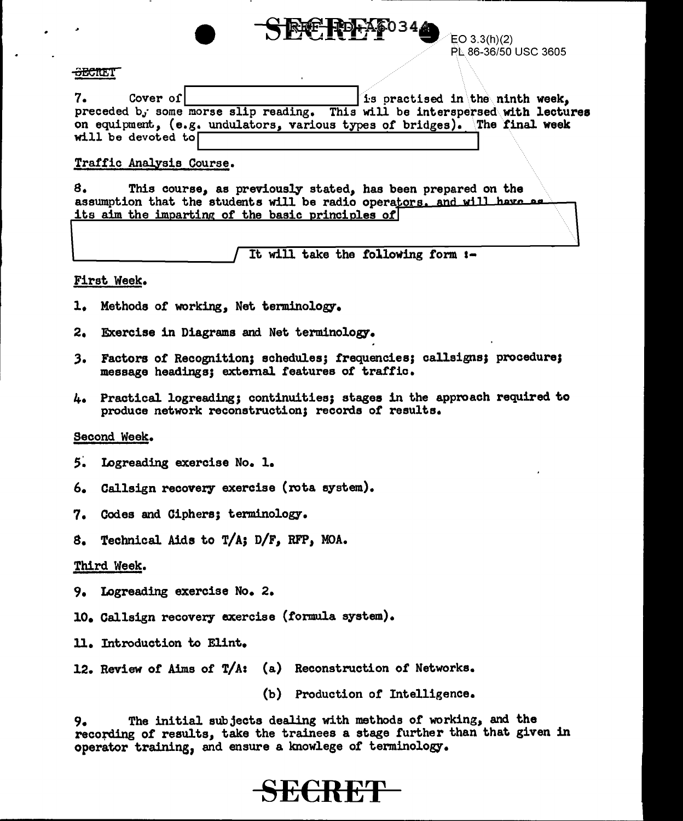

EO 3.3(h)(2) PL. 86-36/50 USC 3605

## -<del>SECRE</del>T

 $7.$  Cover of  $\left| \begin{array}{ccc} 1 & 1 \\ 1 & 1 \end{array} \right|$  is practised in the ninth week, preceded b, some morse slip reading. This will be interspersed with lectures on equipment., (e.g. undulators, various types of bridges). The final week will be devoted to

## Traffic Analysis Course.

8. This course, as previously stated, has been prepared on the assumption that the students will be radio operators. and will have as its aim the imparting of the basic principles of

It will take the following form :-

## First Week.

- 1. Methods of working, Net terminology.
- 2. Exercise in Diagrams and Net terminology.
- *3.* Factors of Recognition; schedules; frequencies; callsigns; procedure; message headings; extenial features of traffic.
- 4. Practical logreading; continuities; stages in the approach required to produce network reconstruction; records of results.

## Second Week.

- 5. Logreading exercise No. 1.
- 6. Callsign recovery exercise (rota system).
- 7. Codes and Ciphers; terminology.
- S. Technical Aids to T/A; D/F, RFP, MOA.

## Third Week.

- 9. Logreading exercise No. 2.
- 10. Callsign recovery exercise (formula system).
- ll. Introduction to Elint.
- 12. Review of Aims of T/A: (a) Reconstruction or Networks.

(b) Production or Intelligence.

9. The initial subjects dealing with methods or working, and the recofding *ot* results, take the trainees a stage further than that given in operator training, and ensure a knowlege of terminology.

# **BERRET**